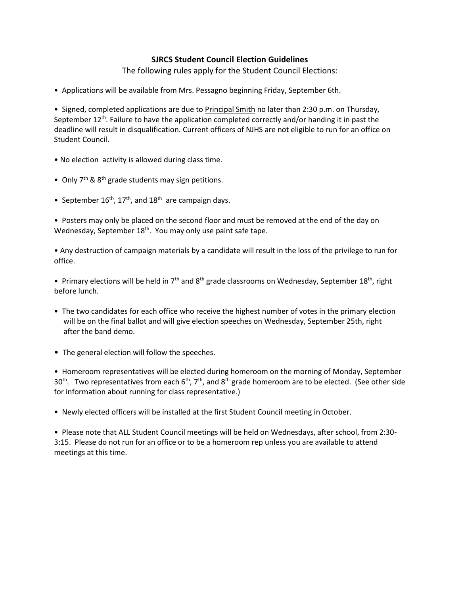## **SJRCS Student Council Election Guidelines**

The following rules apply for the Student Council Elections:

• Applications will be available from Mrs. Pessagno beginning Friday, September 6th.

• Signed, completed applications are due to Principal Smith no later than 2:30 p.m. on Thursday, September 12<sup>th</sup>. Failure to have the application completed correctly and/or handing it in past the deadline will result in disqualification. Current officers of NJHS are not eligible to run for an office on Student Council.

- No election activity is allowed during class time.
- Only  $7<sup>th</sup>$  &  $8<sup>th</sup>$  grade students may sign petitions.
- September  $16^{th}$ ,  $17^{th}$ , and  $18^{th}$  are campaign days.

• Posters may only be placed on the second floor and must be removed at the end of the day on Wednesday, September 18<sup>th</sup>. You may only use paint safe tape.

• Any destruction of campaign materials by a candidate will result in the loss of the privilege to run for office.

• Primary elections will be held in  $7<sup>th</sup>$  and  $8<sup>th</sup>$  grade classrooms on Wednesday, September 18<sup>th</sup>, right before lunch.

- The two candidates for each office who receive the highest number of votes in the primary election will be on the final ballot and will give election speeches on Wednesday, September 25th, right after the band demo.
- The general election will follow the speeches.

• Homeroom representatives will be elected during homeroom on the morning of Monday, September 30<sup>th</sup>. Two representatives from each 6<sup>th</sup>, 7<sup>th</sup>, and 8<sup>th</sup> grade homeroom are to be elected. (See other side for information about running for class representative.)

• Newly elected officers will be installed at the first Student Council meeting in October.

• Please note that ALL Student Council meetings will be held on Wednesdays, after school, from 2:30- 3:15. Please do not run for an office or to be a homeroom rep unless you are available to attend meetings at this time.